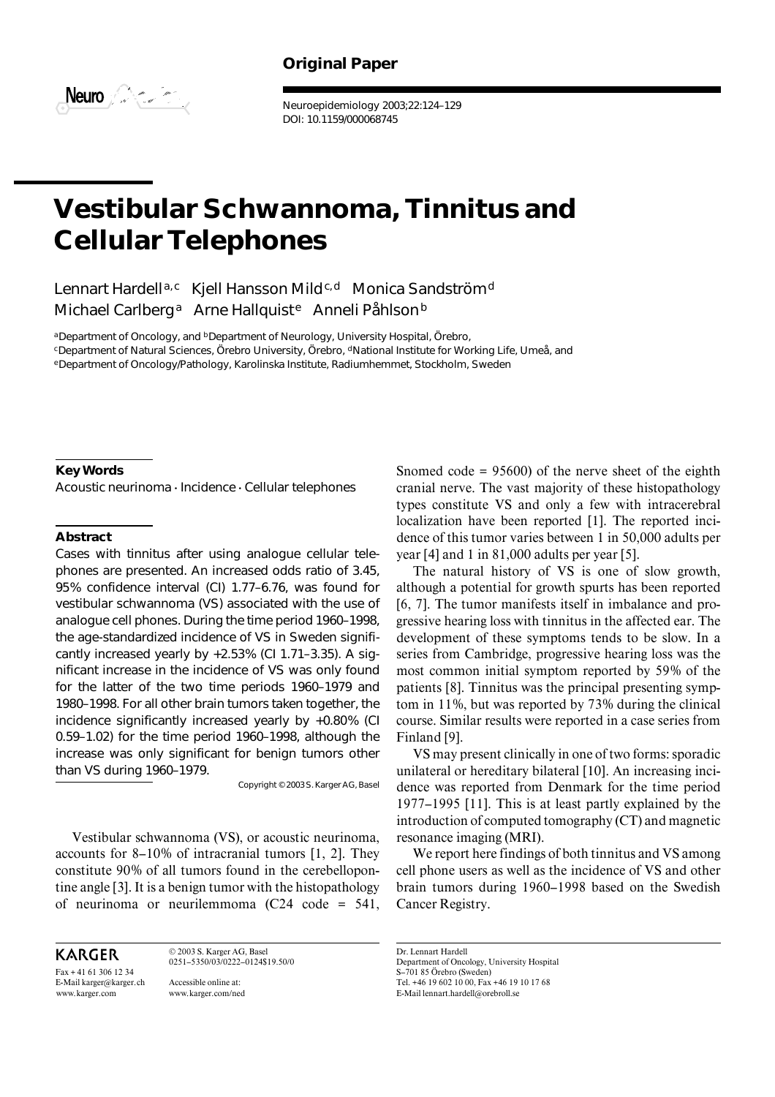## **Original Paper**



Neuroepidemiology 2003;22:124–129 DOI: 10.1159/000068745

# **Vestibular Schwannoma, Tinnitus and Cellular Telephones**

Lennart Hardell<sup>a,c</sup> Kjell Hansson Mild<sup>c,d</sup> Monica Sandström<sup>d</sup> Michael Carlberg<sup>a</sup> Arne Hallquist<sup>e</sup> Anneli Påhlson<sup>b</sup>

aDepartment of Oncology, and **bDepartment of Neurology**, University Hospital, Örebro, cDepartment of Natural Sciences, Örebro University, Örebro, dNational Institute for Working Life, Umeå, and eDepartment of Oncology/Pathology, Karolinska Institute, Radiumhemmet, Stockholm, Sweden

## **Key Words**

Acoustic neurinoma  $\cdot$  Incidence  $\cdot$  Cellular telephones

#### **Abstract**

Cases with tinnitus after using analogue cellular telephones are presented. An increased odds ratio of 3.45, 95% confidence interval (CI) 1.77–6.76, was found for vestibular schwannoma (VS) associated with the use of analogue cell phones. During the time period 1960–1998, the age-standardized incidence of VS in Sweden significantly increased yearly by +2.53% (CI 1.71–3.35). A significant increase in the incidence of VS was only found for the latter of the two time periods 1960–1979 and 1980–1998. For all other brain tumors taken together, the incidence significantly increased yearly by +0.80% (CI 0.59–1.02) for the time period 1960–1998, although the increase was only significant for benign tumors other than VS during 1960–1979.

Copyright © 2003 S. Karger AG, Basel

Vestibular schwannoma (VS), or acoustic neurinoma, accounts for 8–10% of intracranial tumors [1, 2]. They constitute 90% of all tumors found in the cerebellopontine angle [3]. It is a benign tumor with the histopathology of neurinoma or neurilemmoma (C24 code = 541,

**KARGER** 

Fax + 41 61 306 12 34 E-Mail karger@karger.ch www.karger.com

© 2003 S. Karger AG, Basel 0251–5350/03/0222–0124\$19.50/0 Accessible online at: www.karger.com/ned

Snomed code  $= 95600$  of the nerve sheet of the eighth cranial nerve. The vast majority of these histopathology types constitute VS and only a few with intracerebral localization have been reported [1]. The reported incidence of this tumor varies between 1 in 50,000 adults per year [4] and 1 in 81,000 adults per year [5].

The natural history of VS is one of slow growth, although a potential for growth spurts has been reported [6, 7]. The tumor manifests itself in imbalance and progressive hearing loss with tinnitus in the affected ear. The development of these symptoms tends to be slow. In a series from Cambridge, progressive hearing loss was the most common initial symptom reported by 59% of the patients [8]. Tinnitus was the principal presenting symptom in 11%, but was reported by 73% during the clinical course. Similar results were reported in a case series from Finland [9].

VS may present clinically in one of two forms: sporadic unilateral or hereditary bilateral [10]. An increasing incidence was reported from Denmark for the time period 1977–1995 [11]. This is at least partly explained by the introduction of computed tomography (CT) and magnetic resonance imaging (MRI).

We report here findings of both tinnitus and VS among cell phone users as well as the incidence of VS and other brain tumors during 1960–1998 based on the Swedish Cancer Registry.

Dr. Lennart Hardell

Department of Oncology, University Hospital S–701 85 Örebro (Sweden) Tel. +46 19 602 10 00, Fax +46 19 10 17 68 E-Mail lennart.hardell@orebroll.se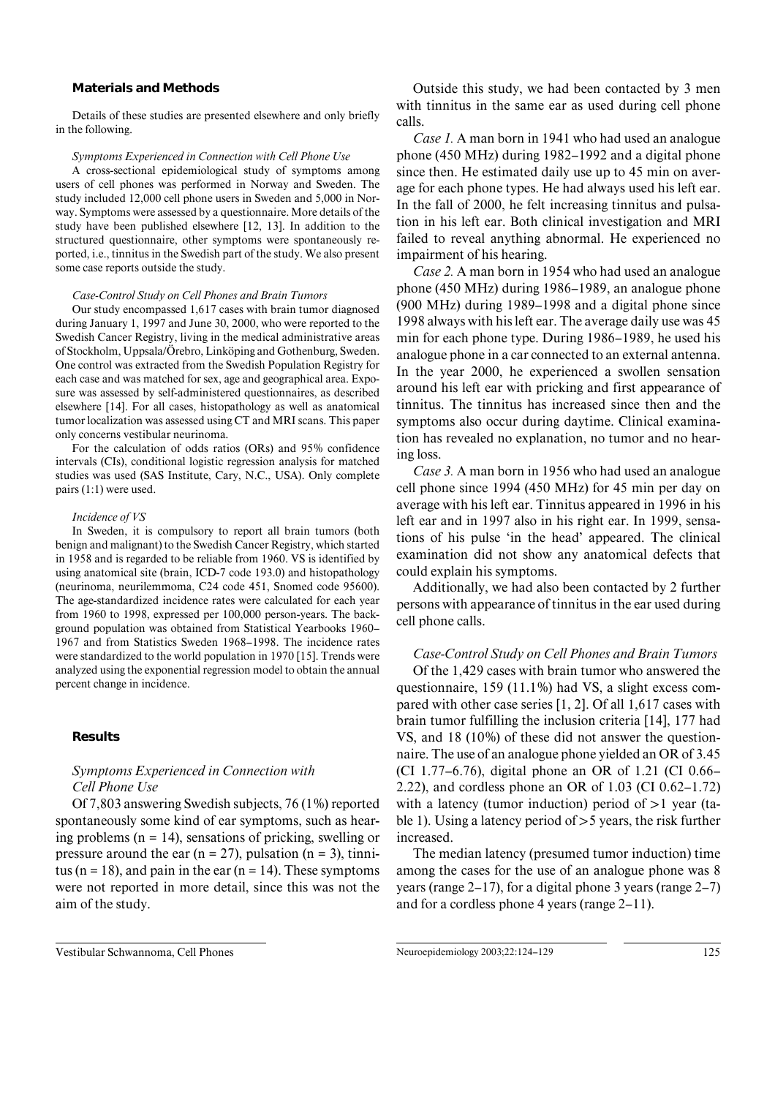### **Materials and Methods**

Details of these studies are presented elsewhere and only briefly in the following.

#### *Symptoms Experienced in Connection with Cell Phone Use*

A cross-sectional epidemiological study of symptoms among users of cell phones was performed in Norway and Sweden. The study included 12,000 cell phone users in Sweden and 5,000 in Norway. Symptoms were assessed by a questionnaire. More details of the study have been published elsewhere [12, 13]. In addition to the structured questionnaire, other symptoms were spontaneously reported, i.e., tinnitus in the Swedish part of the study. We also present some case reports outside the study.

#### *Case-Control Study on Cell Phones and Brain Tumors*

Our study encompassed 1,617 cases with brain tumor diagnosed during January 1, 1997 and June 30, 2000, who were reported to the Swedish Cancer Registry, living in the medical administrative areas of Stockholm, Uppsala/Örebro, Linköping and Gothenburg, Sweden. One control was extracted from the Swedish Population Registry for each case and was matched for sex, age and geographical area. Exposure was assessed by self-administered questionnaires, as described elsewhere [14]. For all cases, histopathology as well as anatomical tumor localization was assessed using CT and MRI scans. This paper only concerns vestibular neurinoma.

For the calculation of odds ratios (ORs) and 95% confidence intervals (CIs), conditional logistic regression analysis for matched studies was used (SAS Institute, Cary, N.C., USA). Only complete pairs (1:1) were used.

#### *Incidence of VS*

In Sweden, it is compulsory to report all brain tumors (both benign and malignant) to the Swedish Cancer Registry, which started in 1958 and is regarded to be reliable from 1960. VS is identified by using anatomical site (brain, ICD-7 code 193.0) and histopathology (neurinoma, neurilemmoma, C24 code 451, Snomed code 95600). The age-standardized incidence rates were calculated for each year from 1960 to 1998, expressed per 100,000 person-years. The background population was obtained from Statistical Yearbooks 1960– 1967 and from Statistics Sweden 1968–1998. The incidence rates were standardized to the world population in 1970 [15]. Trends were analyzed using the exponential regression model to obtain the annual percent change in incidence.

#### **Results**

## *Symptoms Experienced in Connection with Cell Phone Use*

Of 7,803 answering Swedish subjects, 76 (1%) reported spontaneously some kind of ear symptoms, such as hearing problems  $(n = 14)$ , sensations of pricking, swelling or pressure around the ear  $(n = 27)$ , pulsation  $(n = 3)$ , tinnitus (n = 18), and pain in the ear (n = 14). These symptoms were not reported in more detail, since this was not the aim of the study.

Outside this study, we had been contacted by 3 men with tinnitus in the same ear as used during cell phone calls.

*Case 1.* A man born in 1941 who had used an analogue phone (450 MHz) during 1982–1992 and a digital phone since then. He estimated daily use up to 45 min on average for each phone types. He had always used his left ear. In the fall of 2000, he felt increasing tinnitus and pulsation in his left ear. Both clinical investigation and MRI failed to reveal anything abnormal. He experienced no impairment of his hearing.

*Case 2.* A man born in 1954 who had used an analogue phone (450 MHz) during 1986–1989, an analogue phone (900 MHz) during 1989–1998 and a digital phone since 1998 always with his left ear. The average daily use was 45 min for each phone type. During 1986–1989, he used his analogue phone in a car connected to an external antenna. In the year 2000, he experienced a swollen sensation around his left ear with pricking and first appearance of tinnitus. The tinnitus has increased since then and the symptoms also occur during daytime. Clinical examination has revealed no explanation, no tumor and no hearing loss.

*Case 3.* A man born in 1956 who had used an analogue cell phone since 1994 (450 MHz) for 45 min per day on average with his left ear. Tinnitus appeared in 1996 in his left ear and in 1997 also in his right ear. In 1999, sensations of his pulse 'in the head' appeared. The clinical examination did not show any anatomical defects that could explain his symptoms.

Additionally, we had also been contacted by 2 further persons with appearance of tinnitus in the ear used during cell phone calls.

## *Case-Control Study on Cell Phones and Brain Tumors*

Of the 1,429 cases with brain tumor who answered the questionnaire, 159 (11.1%) had VS, a slight excess compared with other case series [1, 2]. Of all 1,617 cases with brain tumor fulfilling the inclusion criteria [14], 177 had VS, and 18 (10%) of these did not answer the questionnaire. The use of an analogue phone yielded an OR of 3.45 (CI 1.77–6.76), digital phone an OR of 1.21 (CI 0.66– 2.22), and cordless phone an OR of 1.03 (CI 0.62–1.72) with a latency (tumor induction) period of  $>1$  year (table 1). Using a latency period of  $>$  5 years, the risk further increased.

The median latency (presumed tumor induction) time among the cases for the use of an analogue phone was 8 years (range 2–17), for a digital phone 3 years (range 2–7) and for a cordless phone 4 years (range 2–11).

Vestibular Schwannoma, Cell Phones Neuroepidemiology 2003;22:124–129 125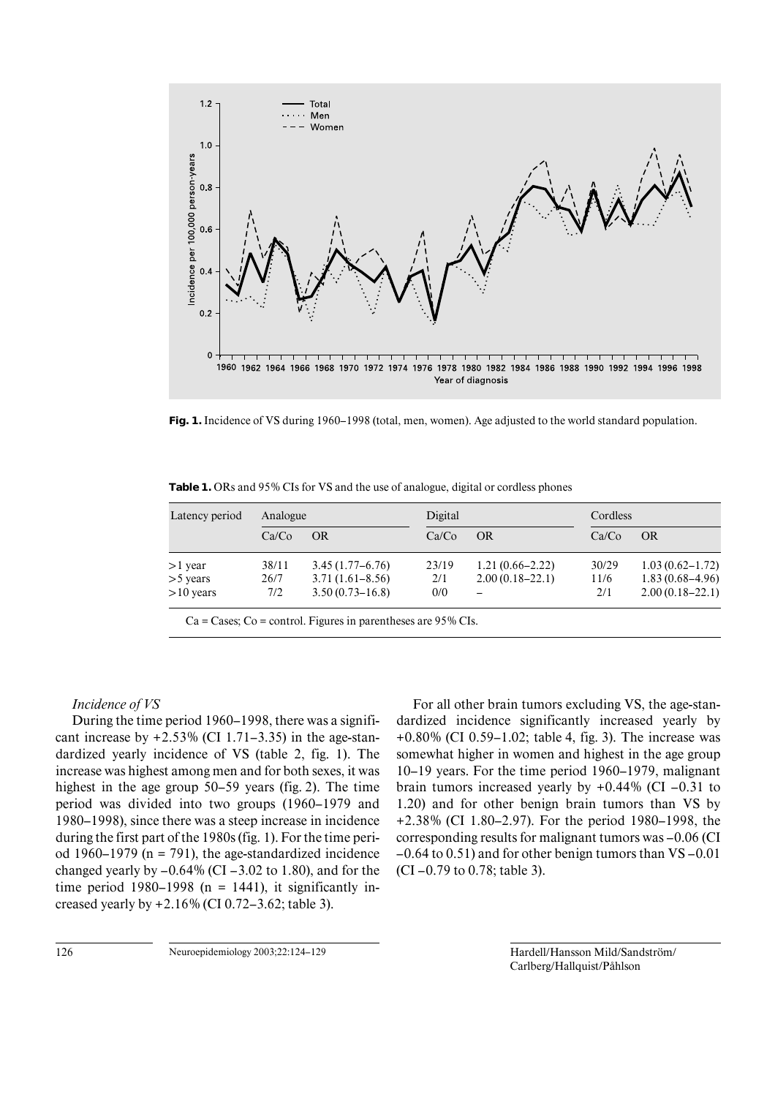

**Fig. 1.** Incidence of VS during 1960–1998 (total, men, women). Age adjusted to the world standard population.

| Latency period | Analogue |                     | Digital |                     |       | Cordless            |  |
|----------------|----------|---------------------|---------|---------------------|-------|---------------------|--|
|                | Ca/Co    | <b>OR</b>           | Ca/Co   | OR                  | Ca/Co | OR                  |  |
| $>1$ year      | 38/11    | $3.45(1.77-6.76)$   | 23/19   | $1.21(0.66 - 2.22)$ | 30/29 | $1.03(0.62 - 1.72)$ |  |
| $>$ 5 years    | 26/7     | $3.71(1.61 - 8.56)$ | 2/1     | $2.00(0.18-22.1)$   | 11/6  | $1.83(0.68-4.96)$   |  |
| $>10$ years    | 7/2      | $3.50(0.73 - 16.8)$ | 0/0     |                     | 2/1   | $2.00(0.18-22.1)$   |  |

**Table 1.** ORs and 95% CIs for VS and the use of analogue, digital or cordless phones

#### $Ca =$  Cases; Co = control. Figures in parentheses are 95% CIs.

## *Incidence of VS*

During the time period 1960–1998, there was a significant increase by  $+2.53\%$  (CI 1.71–3.35) in the age-standardized yearly incidence of VS (table 2, fig. 1). The increase was highest among men and for both sexes, it was highest in the age group 50–59 years (fig. 2). The time period was divided into two groups (1960–1979 and 1980–1998), since there was a steep increase in incidence during the first part of the 1980s (fig. 1). For the time period 1960–1979 ( $n = 791$ ), the age-standardized incidence changed yearly by  $-0.64\%$  (CI  $-3.02$  to 1.80), and for the time period 1980–1998 (n = 1441), it significantly increased yearly by +2.16% (CI 0.72–3.62; table 3).

For all other brain tumors excluding VS, the age-standardized incidence significantly increased yearly by +0.80% (CI 0.59–1.02; table 4, fig. 3). The increase was somewhat higher in women and highest in the age group 10–19 years. For the time period 1960–1979, malignant brain tumors increased yearly by  $+0.44\%$  (CI –0.31 to 1.20) and for other benign brain tumors than VS by +2.38% (CI 1.80–2.97). For the period 1980–1998, the corresponding results for malignant tumors was –0.06 (CI –0.64 to 0.51) and for other benign tumors than VS –0.01 (CI –0.79 to 0.78; table 3).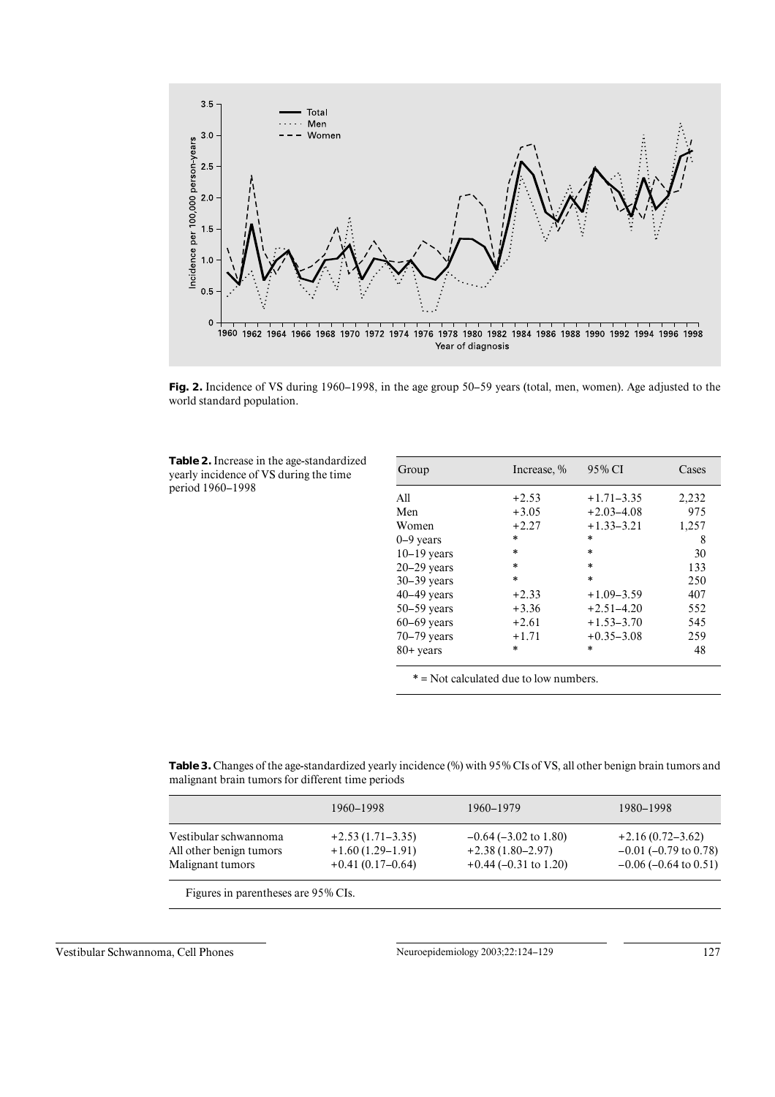

**Fig. 2.** Incidence of VS during 1960–1998, in the age group 50–59 years (total, men, women). Age adjusted to the world standard population.

**Table 2.** Increase in the age-standardized yearly incidence of VS during the time period 1960–1998

| Group           | Increase, % | 95% CI         | Cases |
|-----------------|-------------|----------------|-------|
| All             | $+2.53$     | $+1.71 - 3.35$ | 2,232 |
| Men             | $+3.05$     | $+2.03 - 4.08$ | 975   |
| Women           | $+2.27$     | $+1.33 - 3.21$ | 1,257 |
| $0-9$ years     | $\ast$      | $\ast$         | 8     |
| $10-19$ years   | $\ast$      | $\ast$         | 30    |
| $20-29$ vears   | $\ast$      | $\ast$         | 133   |
| $30-39$ years   | $\ast$      | $\ast$         | 250   |
| $40-49$ years   | $+2.33$     | $+1.09 - 3.59$ | 407   |
| $50 - 59$ years | $+3.36$     | $+2.51 - 4.20$ | 552   |
| $60-69$ years   | $+2.61$     | $+1.53 - 3.70$ | 545   |
| $70-79$ years   | $+1.71$     | $+0.35 - 3.08$ | 259   |
| $80+$ years     | *           | $\ast$         | 48    |

\* = Not calculated due to low numbers.

**Table 3.** Changes of the age-standardized yearly incidence (%) with 95% CIs of VS, all other benign brain tumors and malignant brain tumors for different time periods

|                         | 1960–1998          | 1960–1979                  | 1980–1998                     |
|-------------------------|--------------------|----------------------------|-------------------------------|
| Vestibular schwannoma   | $+2.53(1.71-3.35)$ | $-0.64$ ( $-3.02$ to 1.80) | $+2.16(0.72 - 3.62)$          |
| All other benign tumors | $+1.60(1.29-1.91)$ | $+2.38(1.80-2.97)$         | $-0.01$ (-0.79 to 0.78)       |
| Malignant tumors        | $+0.41(0.17-0.64)$ | $+0.44$ (-0.31 to 1.20)    | $-0.06$ ( $-0.64$ to $0.51$ ) |

Figures in parentheses are 95% CIs.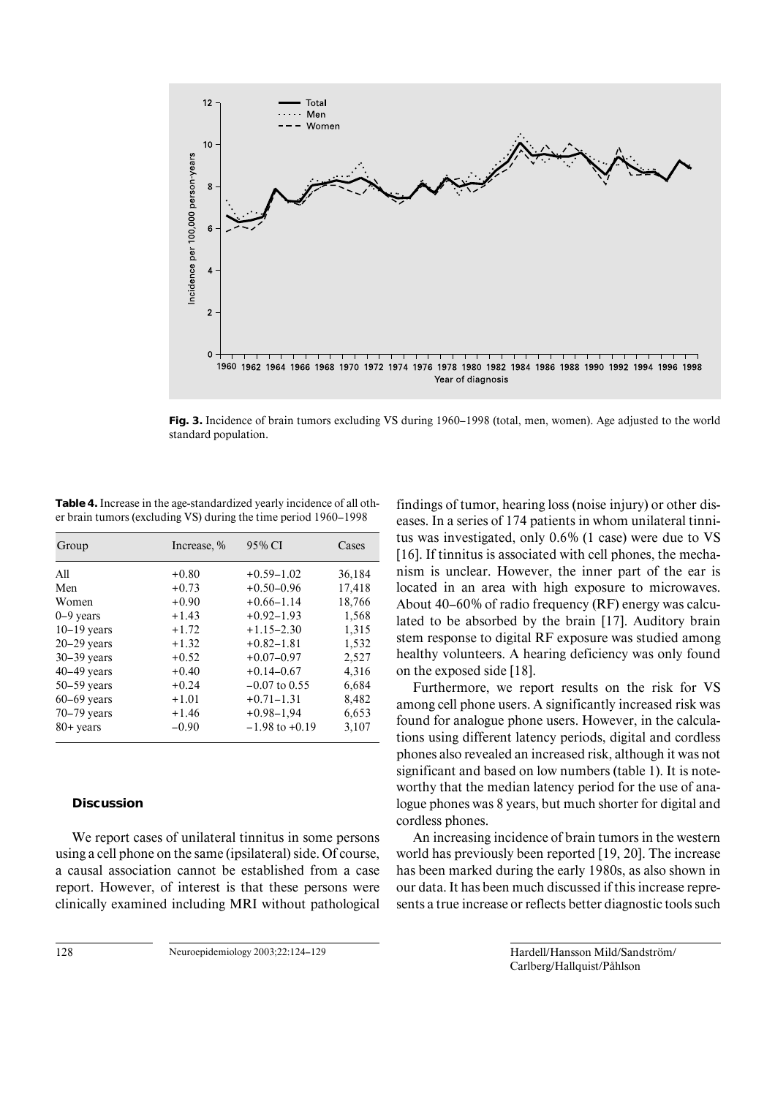

**Fig. 3.** Incidence of brain tumors excluding VS during 1960–1998 (total, men, women). Age adjusted to the world standard population.

**Table 4.** Increase in the age-standardized yearly incidence of all other brain tumors (excluding VS) during the time period 1960–1998

| Group           | Increase, % | 95% CI             | Cases  |
|-----------------|-------------|--------------------|--------|
| All             | $+0.80$     | $+0.59 - 1.02$     | 36,184 |
| Men             | $+0.73$     | $+0.50 - 0.96$     | 17,418 |
| Women           | $+0.90$     | $+0.66 - 1.14$     | 18,766 |
| $0-9$ years     | $+1.43$     | $+0.92 - 1.93$     | 1,568  |
| $10-19$ years   | $+1.72$     | $+1.15 - 2.30$     | 1,315  |
| $20 - 29$ years | $+1.32$     | $+0.82 - 1.81$     | 1,532  |
| $30 - 39$ years | $+0.52$     | $+0.07-0.97$       | 2,527  |
| $40-49$ years   | $+0.40$     | $+0.14 - 0.67$     | 4,316  |
| $50 - 59$ years | $+0.24$     | $-0.07$ to 0.55    | 6,684  |
| $60-69$ vears   | $+1.01$     | $+0.71 - 1.31$     | 8,482  |
| $70 - 79$ years | $+1.46$     | $+0.98 - 1.94$     | 6,653  |
| $80+$ years     | $-0.90$     | $-1.98$ to $+0.19$ | 3,107  |

## **Discussion**

We report cases of unilateral tinnitus in some persons using a cell phone on the same (ipsilateral) side. Of course, a causal association cannot be established from a case report. However, of interest is that these persons were clinically examined including MRI without pathological

findings of tumor, hearing loss (noise injury) or other diseases. In a series of 174 patients in whom unilateral tinnitus was investigated, only 0.6% (1 case) were due to VS [16]. If tinnitus is associated with cell phones, the mechanism is unclear. However, the inner part of the ear is located in an area with high exposure to microwaves. About 40–60% of radio frequency (RF) energy was calculated to be absorbed by the brain [17]. Auditory brain stem response to digital RF exposure was studied among healthy volunteers. A hearing deficiency was only found on the exposed side [18].

Furthermore, we report results on the risk for VS among cell phone users. A significantly increased risk was found for analogue phone users. However, in the calculations using different latency periods, digital and cordless phones also revealed an increased risk, although it was not significant and based on low numbers (table 1). It is noteworthy that the median latency period for the use of analogue phones was 8 years, but much shorter for digital and cordless phones.

An increasing incidence of brain tumors in the western world has previously been reported [19, 20]. The increase has been marked during the early 1980s, as also shown in our data. It has been much discussed if this increase represents a true increase or reflects better diagnostic tools such

128 Neuroepidemiology 2003;22:124–129 Hardell/Hansson Mild/Sandström/ Carlberg/Hallquist/Påhlson